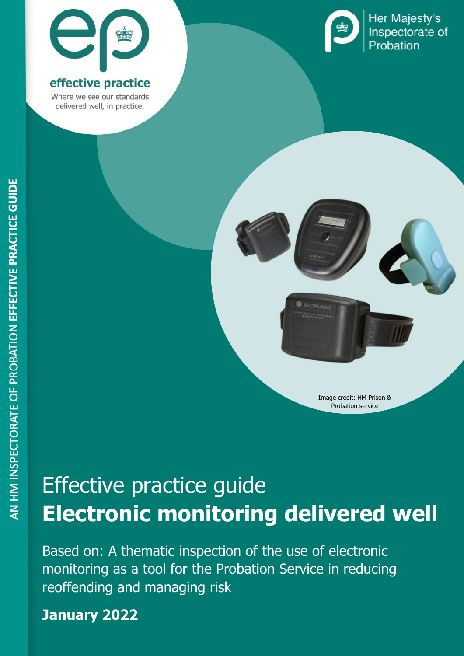

### effective practice

Where we see our standards delivered well, in practice.



Her Majesty's Inspectorate of Probation



# Effective practice guide **Electronic monitoring delivered well**

Based on: A thematic inspection of the use of electronic monitoring as a tool for the Probation Service in reducing reoffending and managing risk

#### Effective practice guide: Electronic monitoring delivered well **1 January 2022**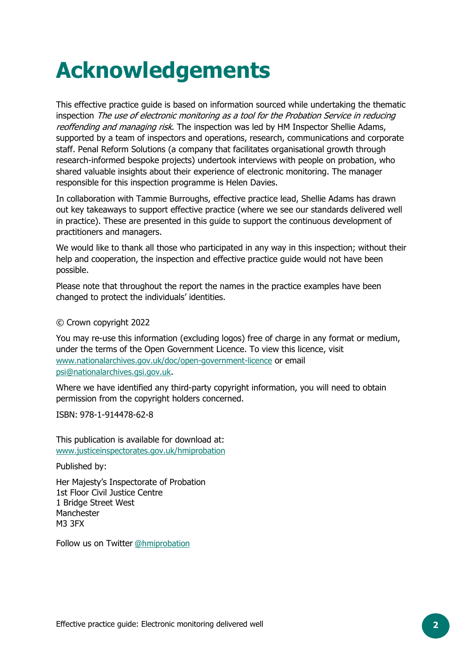# **Acknowledgements**

This effective practice guide is based on information sourced while undertaking the thematic inspection The use of electronic monitoring as a tool for the Probation Service in reducing reoffending and managing risk. The inspection was led by HM Inspector Shellie Adams, supported by a team of inspectors and operations, research, communications and corporate staff. Penal Reform Solutions (a company that facilitates organisational growth through research-informed bespoke projects) undertook interviews with people on probation, who shared valuable insights about their experience of electronic monitoring. The manager responsible for this inspection programme is Helen Davies.

In collaboration with Tammie Burroughs, effective practice lead, Shellie Adams has drawn out key takeaways to support effective practice (where we see our standards delivered well in practice). These are presented in this guide to support the continuous development of practitioners and managers.

We would like to thank all those who participated in any way in this inspection; without their help and cooperation, the inspection and effective practice guide would not have been possible.

Please note that throughout the report the names in the practice examples have been changed to protect the individuals' identities.

© Crown copyright 2022

You may re-use this information (excluding logos) free of charge in any format or medium, under the terms of the Open Government Licence. To view this licence, visit [www.nationalarchives.gov.uk/doc/open-government-licence](http://www.nationalarchives.gov.uk/doc/open-government-licence) or email [psi@nationalarchives.gsi.gov.uk.](mailto:psi@nationalarchives.gsi.gov.uk)

Where we have identified any third-party copyright information, you will need to obtain permission from the copyright holders concerned.

ISBN: 978-1-914478-62-8

This publication is available for download at: [www.justiceinspectorates.gov.uk/hmiprobation](http://www.justiceinspectorates.gov.uk/hmiprobation)

Published by:

Her Majesty's Inspectorate of Probation 1st Floor Civil Justice Centre 1 Bridge Street West Manchester M3 3FX

Follow us on Twitter @hmiprobation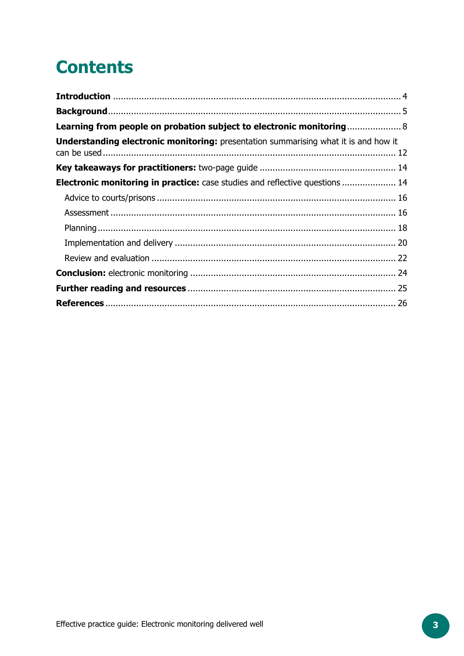## **Contents**

| Learning from people on probation subject to electronic monitoring 8                       |  |
|--------------------------------------------------------------------------------------------|--|
| <b>Understanding electronic monitoring:</b> presentation summarising what it is and how it |  |
|                                                                                            |  |
| <b>Electronic monitoring in practice:</b> case studies and reflective questions  14        |  |
|                                                                                            |  |
|                                                                                            |  |
|                                                                                            |  |
|                                                                                            |  |
|                                                                                            |  |
|                                                                                            |  |
|                                                                                            |  |
|                                                                                            |  |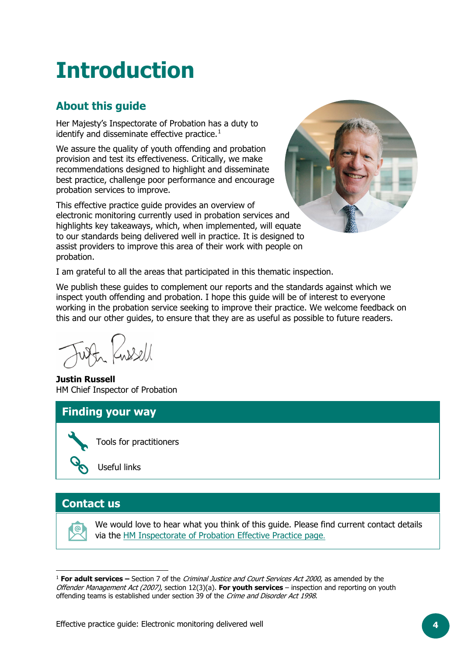# <span id="page-3-0"></span>**Introduction**

### **About this guide**

Her Majesty's Inspectorate of Probation has a duty to identify and disseminate effective practice. $1$ 

We assure the quality of youth offending and probation provision and test its effectiveness. Critically, we make recommendations designed to highlight and disseminate best practice, challenge poor performance and encourage probation services to improve.

This effective practice guide provides an overview of electronic monitoring currently used in probation services and highlights key takeaways, which, when implemented, will equate to our standards being delivered well in practice. It is designed to assist providers to improve this area of their work with people on probation.



I am grateful to all the areas that participated in this thematic inspection.

We publish these guides to complement our reports and the standards against which we inspect youth offending and probation. I hope this guide will be of interest to everyone working in the probation service seeking to improve their practice. We welcome feedback on this and our other guides, to ensure that they are as useful as possible to future readers.

 $\frac{1}{2}$ 

**Justin Russell**  HM Chief Inspector of Probation

#### **Finding your way**



Tools for practitioners

Useful links

#### **Contact us**

|@

We would love to hear what you think of this guide. Please find current contact details via the [HM Inspectorate of Probation Effective Practice page](https://www.justiceinspectorates.gov.uk/hmiprobation/effective-practice/).

<span id="page-3-1"></span><sup>1</sup> **For adult services –** Section 7 of the Criminal Justice and Court Services Act 2000, as amended by the Offender Management Act (2007), section 12(3)(a). **For youth services** – inspection and reporting on youth offending teams is established under section 39 of the Crime and Disorder Act 1998.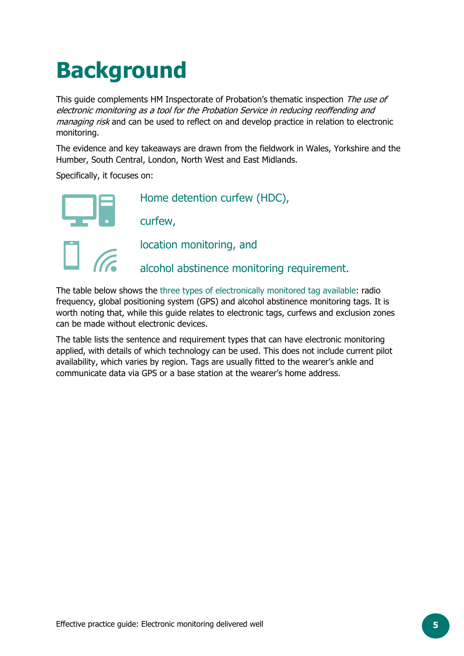# <span id="page-4-0"></span>**Background**

This guide complements HM Inspectorate of Probation's thematic inspection The use of electronic monitoring as a tool for the Probation Service in reducing reoffending and *managing risk* and can be used to reflect on and develop practice in relation to electronic monitoring.

The evidence and key takeaways are drawn from the fieldwork in Wales, Yorkshire and the Humber, South Central, London, North West and East Midlands.

Specifically, it focuses on:



The table below shows the three types of electronically monitored tag available: radio frequency, global positioning system (GPS) and alcohol abstinence monitoring tags. It is worth noting that, while this guide relates to electronic tags, curfews and exclusion zones can be made without electronic devices.

The table lists the sentence and requirement types that can have electronic monitoring applied, with details of which technology can be used. This does not include current pilot availability, which varies by region. Tags are usually fitted to the wearer's ankle and communicate data via GPS or a base station at the wearer's home address.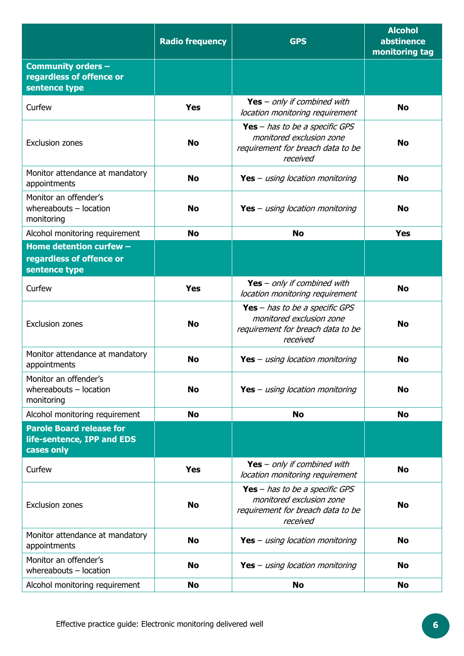|                                                                             | <b>Radio frequency</b> | <b>GPS</b>                                                                                                           | <b>Alcohol</b><br>abstinence<br>monitoring tag |
|-----------------------------------------------------------------------------|------------------------|----------------------------------------------------------------------------------------------------------------------|------------------------------------------------|
| <b>Community orders -</b><br>regardless of offence or<br>sentence type      |                        |                                                                                                                      |                                                |
| Curfew                                                                      | <b>Yes</b>             | Yes - only if combined with<br>location monitoring requirement                                                       | <b>No</b>                                      |
| <b>Exclusion zones</b>                                                      | <b>No</b>              | <b>Yes</b> - has to be a specific GPS<br>monitored exclusion zone<br>requirement for breach data to be<br>received   | <b>No</b>                                      |
| Monitor attendance at mandatory<br>appointments                             | <b>No</b>              | <b>Yes</b> – <i>using location monitoring</i>                                                                        | <b>No</b>                                      |
| Monitor an offender's<br>whereabouts $-$ location<br>monitoring             | <b>No</b>              | <b>Yes</b> – <i>using location monitoring</i>                                                                        | <b>No</b>                                      |
| Alcohol monitoring requirement                                              | <b>No</b>              | <b>No</b>                                                                                                            | <b>Yes</b>                                     |
| Home detention curfew -<br>regardless of offence or<br>sentence type        |                        |                                                                                                                      |                                                |
| Curfew                                                                      | <b>Yes</b>             | Yes - only if combined with<br>location monitoring requirement                                                       | <b>No</b>                                      |
| <b>Exclusion zones</b>                                                      | <b>No</b>              | <b>Yes</b> $-$ has to be a specific GPS<br>monitored exclusion zone<br>requirement for breach data to be<br>received | <b>No</b>                                      |
| Monitor attendance at mandatory<br>appointments                             | <b>No</b>              | <b>Yes</b> – <i>using location monitoring</i>                                                                        | <b>No</b>                                      |
| Monitor an offender's<br>whereabouts - location<br>monitoring               | <b>No</b>              | <b>Yes</b> – <i>using location monitoring</i>                                                                        | <b>No</b>                                      |
| Alcohol monitoring requirement                                              | <b>No</b>              | <b>No</b>                                                                                                            | <b>No</b>                                      |
| <b>Parole Board release for</b><br>life-sentence, IPP and EDS<br>cases only |                        |                                                                                                                      |                                                |
| Curfew                                                                      | <b>Yes</b>             | Yes - only if combined with<br>location monitoring requirement                                                       | <b>No</b>                                      |
| <b>Exclusion zones</b>                                                      | <b>No</b>              | <b>Yes</b> – has to be a specific GPS<br>monitored exclusion zone<br>requirement for breach data to be<br>received   | <b>No</b>                                      |
| Monitor attendance at mandatory<br>appointments                             | <b>No</b>              | <b>Yes</b> – <i>using location monitoring</i>                                                                        | <b>No</b>                                      |
| Monitor an offender's<br>whereabouts - location                             | <b>No</b>              | <b>Yes</b> – <i>using location monitoring</i>                                                                        | <b>No</b>                                      |
| Alcohol monitoring requirement                                              | <b>No</b>              | <b>No</b>                                                                                                            | <b>No</b>                                      |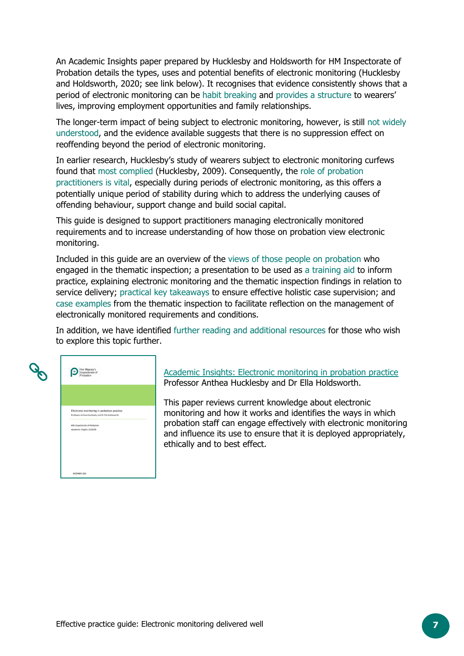An Academic Insights paper prepared by Hucklesby and Holdsworth for HM Inspectorate of Probation details the types, uses and potential benefits of electronic monitoring (Hucklesby and Holdsworth, 2020; see link below). It recognises that evidence consistently shows that a period of electronic monitoring can be habit breaking and provides a structure to wearers' lives, improving employment opportunities and family relationships.

The longer-term impact of being subject to electronic monitoring, however, is still not widely understood, and the evidence available suggests that there is no suppression effect on reoffending beyond the period of electronic monitoring.

In earlier research, Hucklesby's study of wearers subject to electronic monitoring curfews found that most complied (Hucklesby, 2009). Consequently, the role of probation practitioners is vital, especially during periods of electronic monitoring, as this offers a potentially unique period of stability during which to address the underlying causes of offending behaviour, support change and build social capital.

This guide is designed to support practitioners managing electronically monitored requirements and to increase understanding of how those on probation view electronic monitoring.

Included in this guide are an overview of the views of those people on probation who engaged in the thematic inspection; a presentation to be used as a training aid to inform practice, explaining electronic monitoring and the thematic inspection findings in relation to service delivery; practical key takeaways to ensure effective holistic case supervision; and case examples from the thematic inspection to facilitate reflection on the management of electronically monitored requirements and conditions.

In addition, we have identified further reading and additional resources for those who wish to explore this topic further.

| E | Her Majesty's<br>Inspectorate of<br>Probation                                                                                                                 |  |  |  |
|---|---------------------------------------------------------------------------------------------------------------------------------------------------------------|--|--|--|
|   | Electronic monitoring in probation practice<br>Professor Anthea Hucklesby and Dr Ella Holdsworth<br>HM Inspectorate of Probation<br>Academic Insights 2020/08 |  |  |  |
|   | DECEMBER 2020                                                                                                                                                 |  |  |  |

Academic Insights: [Electronic monitoring in probation practice](https://www.justiceinspectorates.gov.uk/hmiprobation/wp-content/uploads/sites/5/2020/12/Academic-Insights-Hucklesby-and-Holdsworth-FINAL-1.pdf) Professor Anthea Hucklesby and Dr Ella Holdsworth.

This paper reviews current knowledge about electronic monitoring and how it works and identifies the ways in which probation staff can engage effectively with electronic monitoring and influence its use to ensure that it is deployed appropriately, ethically and to best effect.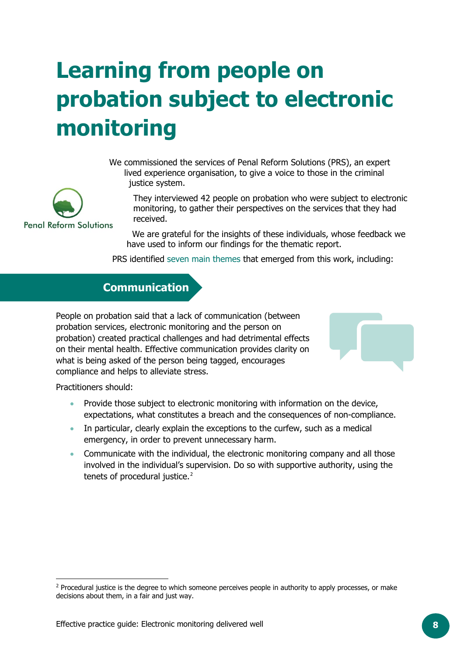# <span id="page-7-0"></span>**Learning from people on probation subject to electronic monitoring**

We commissioned the services of Penal Reform Solutions (PRS), an expert lived experience organisation, to give a voice to those in the criminal justice system.

They interviewed 42 people on probation who were subject to electronic monitoring, to gather their perspectives on the services that they had received.

We are grateful for the insights of these individuals, whose feedback we have used to inform our findings for the thematic report.

PRS identified seven main themes that emerged from this work, including:

### **Communication**

People on probation said that a lack of communication (between probation services, electronic monitoring and the person on probation) created practical challenges and had detrimental effects on their mental health. Effective communication provides clarity on what is being asked of the person being tagged, encourages compliance and helps to alleviate stress.

Practitioners should:

- Provide those subject to electronic monitoring with information on the device, expectations, what constitutes a breach and the consequences of non-compliance.
- In particular, clearly explain the exceptions to the curfew, such as a medical emergency, in order to prevent unnecessary harm.
- Communicate with the individual, the electronic monitoring company and all those involved in the individual's supervision. Do so with supportive authority, using the tenets of procedural justice.<sup>[2](#page-7-1)</sup>



<span id="page-7-1"></span><sup>&</sup>lt;sup>2</sup> Procedural justice is the degree to which someone perceives people in authority to apply processes, or make decisions about them, in a fair and just way.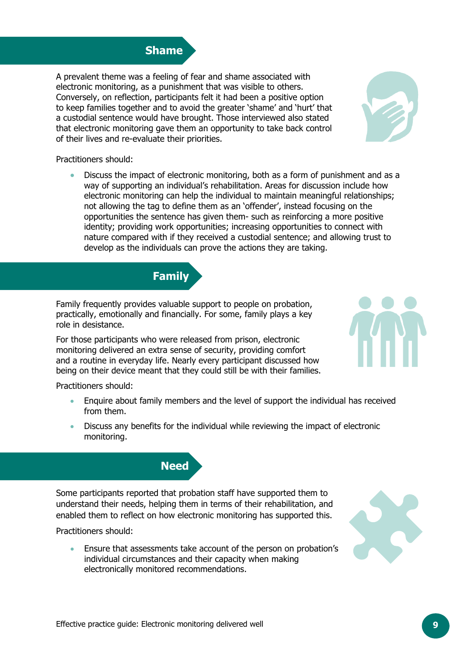## **Shame**

A prevalent theme was a feeling of fear and shame associated with electronic monitoring, as a punishment that was visible to others. Conversely, on reflection, participants felt it had been a positive option to keep families together and to avoid the greater 'shame' and 'hurt' that a custodial sentence would have brought. Those interviewed also stated that electronic monitoring gave them an opportunity to take back control of their lives and re-evaluate their priorities.

Practitioners should:

• Discuss the impact of electronic monitoring, both as a form of punishment and as a way of supporting an individual's rehabilitation. Areas for discussion include how electronic monitoring can help the individual to maintain meaningful relationships; not allowing the tag to define them as an 'offender', instead focusing on the opportunities the sentence has given them- such as reinforcing a more positive identity; providing work opportunities; increasing opportunities to connect with nature compared with if they received a custodial sentence; and allowing trust to develop as the individuals can prove the actions they are taking.

Family frequently provides valuable support to people on probation, practically, emotionally and financially. For some, family plays a key role in desistance.

**Family**

For those participants who were released from prison, electronic monitoring delivered an extra sense of security, providing comfort and a routine in everyday life. Nearly every participant discussed how being on their device meant that they could still be with their families.

Practitioners should:

- Enquire about family members and the level of support the individual has received from them.
- Discuss any benefits for the individual while reviewing the impact of electronic monitoring.

Practitioners should:

• Ensure that assessments take account of the person on probation's individual circumstances and their capacity when making electronically monitored recommendations.

Some participants reported that probation staff have supported them to understand their needs, helping them in terms of their rehabilitation, and enabled them to reflect on how electronic monitoring has supported this.

**Need**





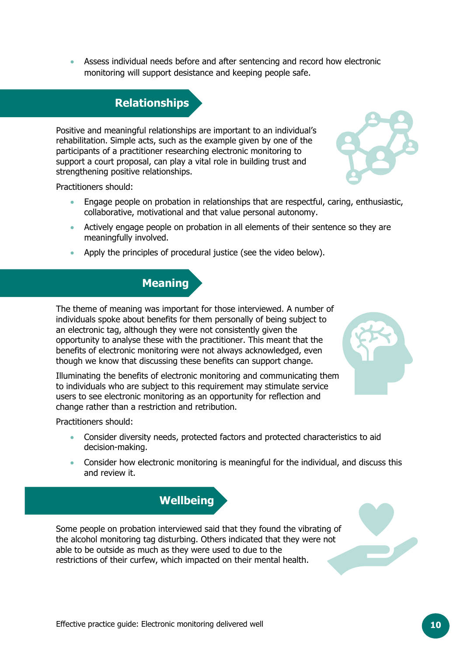**Relationships**

monitoring will support desistance and keeping people safe.

• Assess individual needs before and after sentencing and record how electronic

Positive and meaningful relationships are important to an individual's rehabilitation. Simple acts, such as the example given by one of the participants of a practitioner researching electronic monitoring to support a court proposal, can play a vital role in building trust and strengthening positive relationships.

Practitioners should:

- Engage people on probation in relationships that are respectful, caring, enthusiastic, collaborative, motivational and that value personal autonomy.
- Actively engage people on probation in all elements of their sentence so they are meaningfully involved.
- Apply the principles of procedural justice (see the video below).

#### **Meaning**

The theme of meaning was important for those interviewed. A number of individuals spoke about benefits for them personally of being subject to an electronic tag, although they were not consistently given the opportunity to analyse these with the practitioner. This meant that the benefits of electronic monitoring were not always acknowledged, even though we know that discussing these benefits can support change.

Illuminating the benefits of electronic monitoring and communicating them to individuals who are subject to this requirement may stimulate service users to see electronic monitoring as an opportunity for reflection and change rather than a restriction and retribution.

Practitioners should:

- Consider diversity needs, protected factors and protected characteristics to aid decision-making.
- Consider how electronic monitoring is meaningful for the individual, and discuss this and review it.



able to be outside as much as they were used to due to the

restrictions of their curfew, which impacted on their mental health.





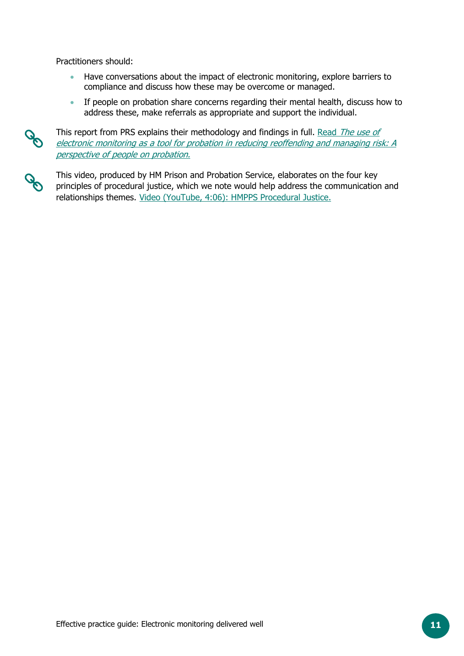Practitioners should:

- Have conversations about the impact of electronic monitoring, explore barriers to compliance and discuss how these may be overcome or managed.
- If people on probation share concerns regarding their mental health, discuss how to address these, make referrals as appropriate and support the individual.

This report from PRS explains their methodology and findings in full. Read The use of [electronic monitoring as a tool for probation in reducing reoffending and managing risk: A](https://www.justiceinspectorates.gov.uk/hmiprobation/?post_type=inspection&p=17017&preview=true)  [perspective of people on probation.](https://www.justiceinspectorates.gov.uk/hmiprobation/?post_type=inspection&p=17017&preview=true)

This video, produced by HM Prison and Probation Service, elaborates on the four key principles of procedural justice, which we note would help address the communication and relationships themes. [Video \(YouTube, 4:06\): HMPPS Procedural Justice.](https://www.youtube.com/watch?app=desktop&v=JNvkVgA_FlI&feature=youtu.be)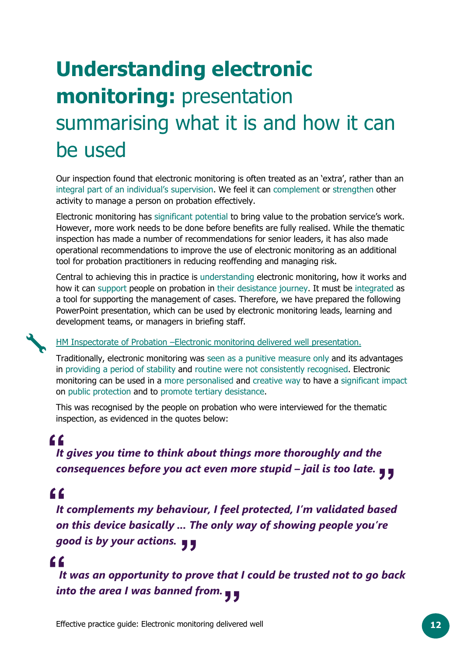# <span id="page-11-0"></span>**Understanding electronic monitoring:** presentation summarising what it is and how it can be used

Our inspection found that electronic monitoring is often treated as an 'extra', rather than an integral part of an individual's supervision. We feel it can complement or strengthen other activity to manage a person on probation effectively.

Electronic monitoring has significant potential to bring value to the probation service's work. However, more work needs to be done before benefits are fully realised. While the thematic inspection has made a number of recommendations for senior leaders, it has also made operational recommendations to improve the use of electronic monitoring as an additional tool for probation practitioners in reducing reoffending and managing risk.

Central to achieving this in practice is understanding electronic monitoring, how it works and how it can support people on probation in their desistance journey. It must be integrated as a tool for supporting the management of cases. Therefore, we have prepared the following PowerPoint presentation, which can be used by electronic monitoring leads, learning and development teams, or managers in briefing staff.

#### [HM Inspectorate of Probation –Electronic monitoring delivered well presentation.](https://www.justiceinspectorates.gov.uk/hmiprobation/wp-content/uploads/sites/5/2022/01/EMT-Presentation-v1.1.pptx)

Traditionally, electronic monitoring was seen as a punitive measure only and its advantages in providing a period of stability and routine were not consistently recognised. Electronic monitoring can be used in a more personalised and creative way to have a significant impact on public protection and to promote tertiary desistance.

This was recognised by the people on probation who were interviewed for the thematic inspection, as evidenced in the quotes below:

## **"**

**f**<br>It gi **"** *consequences before you act even more stupid – jail is too late. It gives you time to think about things more thoroughly and the* 

## **"**

*good is by your actions.***<br>
<b>f**<br>It was an opportunity to pre *It complements my behaviour, I feel protected, I'm validated based on this device basically ... The only way of showing people you're* 

### **"**

**Effective practice guide: Electronic monitoring delivered well <b>12** *It was an opportunity to prove that I could be trusted not to go back into the area I was banned from.*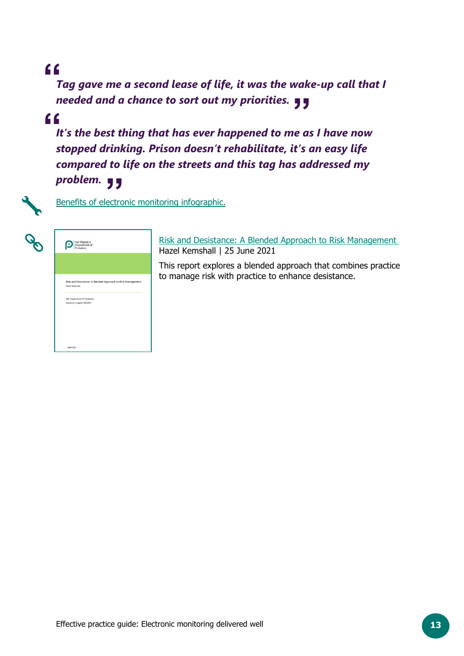## **"**

needed and a chance to sort out my priorities. ¶¶<br>**f**<br>It's the best thing that has ever hannened to me as *Tag gave me a second lease of life, it was the wake-up call that I* 

## **"**

problem. **J J**<br>Benefits of electro *It's the best thing that has ever happened to me as I have now stopped drinking. Prison doesn't rehabilitate, it's an easy life compared to life on the streets and this tag has addressed my* 



**JUNE 202** 

[Benefits of electronic monitoring](https://www.justiceinspectorates.gov.uk/hmiprobation/wp-content/uploads/sites/5/2022/01/Benefits-of-electronic-monitoring.pdf) infographic.

[Risk and Desistance: A Blended Approach to Risk Management](https://www.justiceinspectorates.gov.uk/hmiprobation/wp-content/uploads/sites/5/2021/06/Academic-Insights-Kemshall.pdf) Hazel Kemshall | 25 June 2021

This report explores a blended approach that combines practice to manage risk with practice to enhance desistance.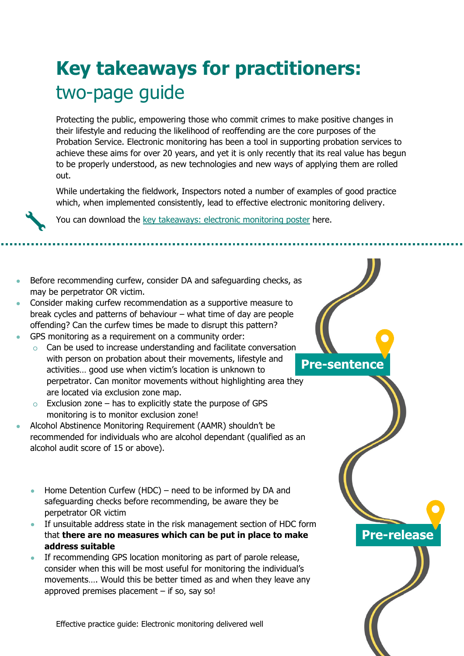## <span id="page-13-0"></span>**Key takeaways for practitioners:**  two-page guide

Protecting the public, empowering those who commit crimes to make positive changes in their lifestyle and reducing the likelihood of reoffending are the core purposes of the Probation Service. Electronic monitoring has been a tool in supporting probation services to achieve these aims for over 20 years, and yet it is only recently that its real value has begun to be properly understood, as new technologies and new ways of applying them are rolled out.

While undertaking the fieldwork, Inspectors noted a number of examples of good practice which, when implemented consistently, lead to effective electronic monitoring delivery.



<span id="page-13-1"></span>You can download the [key takeaways: electronic monitoring poster](https://www.justiceinspectorates.gov.uk/hmiprobation/wp-content/uploads/sites/5/2022/01/Key-takeaways-EM.pdf) here.

- Before recommending curfew, consider DA and safeguarding checks, as may be perpetrator OR victim.
- Consider making curfew recommendation as a supportive measure to break cycles and patterns of behaviour – what time of day are people offending? Can the curfew times be made to disrupt this pattern?
- GPS monitoring as a requirement on a community order:
	- **Pre-sentence** Can be used to increase understanding and facilitate conversation with person on probation about their movements, lifestyle and activities… good use when victim's location is unknown to perpetrator. Can monitor movements without highlighting area they are located via exclusion zone map.
	- $\circ$  Exclusion zone has to explicitly state the purpose of GPS monitoring is to monitor exclusion zone!
- Alcohol Abstinence Monitoring Requirement (AAMR) shouldn't be recommended for individuals who are alcohol dependant (qualified as an alcohol audit score of 15 or above).
	- Home Detention Curfew (HDC) need to be informed by DA and safeguarding checks before recommending, be aware they be perpetrator OR victim
	- If unsuitable address state in the risk management section of HDC form that **there are no measures which can be put in place to make address suitable**

**Pre-release**

If recommending GPS location monitoring as part of parole release, consider when this will be most useful for monitoring the individual's movements…. Would this be better timed as and when they leave any approved premises placement  $-$  if so, say so!

Effective practice guide: Electronic monitoring delivered well **14**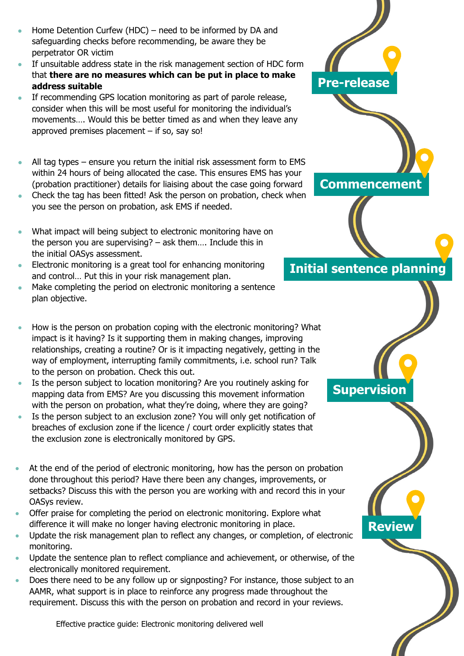- Home Detention Curfew (HDC) need to be informed by DA and safeguarding checks before recommending, be aware they be perpetrator OR victim
- If unsuitable address state in the risk management section of HDC form that **there are no measures which can be put in place to make address suitable**
- If recommending GPS location monitoring as part of parole release, consider when this will be most useful for monitoring the individual's movements…. Would this be better timed as and when they leave any approved premises placement  $-$  if so, say so!
- All tag types ensure you return the initial risk assessment form to EMS within 24 hours of being allocated the case. This ensures EMS has your (probation practitioner) details for liaising about the case going forward
- Check the tag has been fitted! Ask the person on probation, check when you see the person on probation, ask EMS if needed.
- What impact will being subject to electronic monitoring have on the person you are supervising? – ask them…. Include this in the initial OASys assessment.
- Electronic monitoring is a great tool for enhancing monitoring and control… Put this in your risk management plan.
- Make completing the period on electronic monitoring a sentence plan objective.
- How is the person on probation coping with the electronic monitoring? What impact is it having? Is it supporting them in making changes, improving relationships, creating a routine? Or is it impacting negatively, getting in the way of employment, interrupting family commitments, i.e. school run? Talk to the person on probation. Check this out.
- Is the person subject to location monitoring? Are you routinely asking for mapping data from EMS? Are you discussing this movement information with the person on probation, what they're doing, where they are going?
- Is the person subject to an exclusion zone? You will only get notification of breaches of exclusion zone if the licence / court order explicitly states that the exclusion zone is electronically monitored by GPS.
- At the end of the period of electronic monitoring, how has the person on probation done throughout this period? Have there been any changes, improvements, or setbacks? Discuss this with the person you are working with and record this in your OASys review.
- Offer praise for completing the period on electronic monitoring. Explore what difference it will make no longer having electronic monitoring in place.

Effective practice guide: Electronic monitoring delivered well **15**

- Update the risk management plan to reflect any changes, or completion, of electronic monitoring.
- Update the sentence plan to reflect compliance and achievement, or otherwise, of the electronically monitored requirement.
- Does there need to be any follow up or signposting? For instance, those subject to an AAMR, what support is in place to reinforce any progress made throughout the requirement. Discuss this with the person on probation and record in your reviews.



**Initial sentence planning**

**Commencement**

**Supervision**

**Review**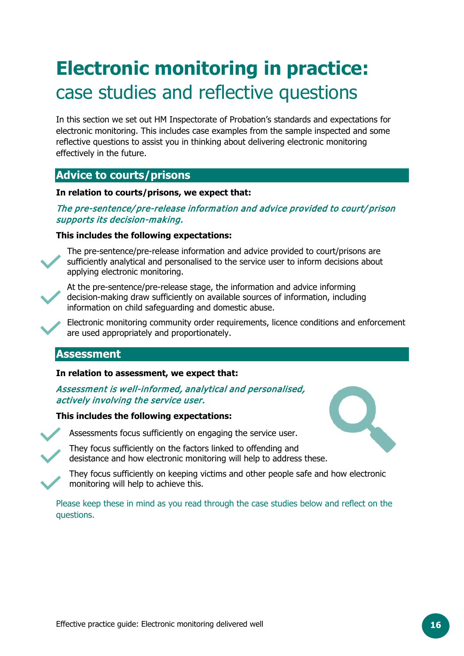## **Electronic monitoring in practice:**  case studies and reflective questions

In this section we set out HM Inspectorate of Probation's standards and expectations for electronic monitoring. This includes case examples from the sample inspected and some reflective questions to assist you in thinking about delivering electronic monitoring effectively in the future.

#### <span id="page-15-0"></span>**Advice to courts/prisons**

#### **In relation to courts/prisons, we expect that:**

The pre-sentence/pre-release information and advice provided to court/prison supports its decision-making.

#### **This includes the following expectations:**

The pre-sentence/pre-release information and advice provided to court/prisons are sufficiently analytical and personalised to the service user to inform decisions about applying electronic monitoring.



At the pre-sentence/pre-release stage, the information and advice informing decision-making draw sufficiently on available sources of information, including information on child safeguarding and domestic abuse.

Electronic monitoring community order requirements, licence conditions and enforcement are used appropriately and proportionately.

#### <span id="page-15-1"></span>**Assessment**

#### **In relation to assessment, we expect that:**

#### Assessment is well-informed, analytical and personalised, actively involving the service user.

#### **This includes the following expectations:**



Assessments focus sufficiently on engaging the service user.

They focus sufficiently on the factors linked to offending and desistance and how electronic monitoring will help to address these.

They focus sufficiently on keeping victims and other people safe and how electronic monitoring will help to achieve this.

Please keep these in mind as you read through the case studies below and reflect on the questions.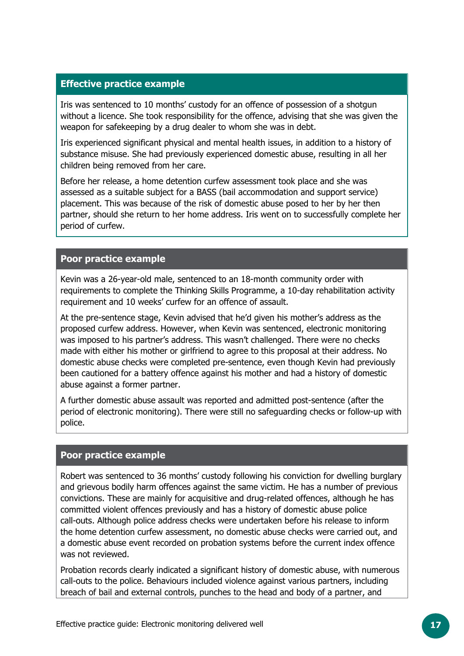#### **Effective practice example**

Iris was sentenced to 10 months' custody for an offence of possession of a shotgun without a licence. She took responsibility for the offence, advising that she was given the weapon for safekeeping by a drug dealer to whom she was in debt.

Iris experienced significant physical and mental health issues, in addition to a history of substance misuse. She had previously experienced domestic abuse, resulting in all her children being removed from her care.

Before her release, a home detention curfew assessment took place and she was assessed as a suitable subject for a BASS (bail accommodation and support service) placement. This was because of the risk of domestic abuse posed to her by her then partner, should she return to her home address. Iris went on to successfully complete her period of curfew.

#### **Poor practice example**

Kevin was a 26-year-old male, sentenced to an 18-month community order with requirements to complete the Thinking Skills Programme, a 10-day rehabilitation activity requirement and 10 weeks' curfew for an offence of assault.

At the pre-sentence stage, Kevin advised that he'd given his mother's address as the proposed curfew address. However, when Kevin was sentenced, electronic monitoring was imposed to his partner's address. This wasn't challenged. There were no checks made with either his mother or girlfriend to agree to this proposal at their address. No domestic abuse checks were completed pre-sentence, even though Kevin had previously been cautioned for a battery offence against his mother and had a history of domestic abuse against a former partner.

A further domestic abuse assault was reported and admitted post-sentence (after the period of electronic monitoring). There were still no safeguarding checks or follow-up with police.

#### **Poor practice example**

Robert was sentenced to 36 months' custody following his conviction for dwelling burglary and grievous bodily harm offences against the same victim. He has a number of previous convictions. These are mainly for acquisitive and drug-related offences, although he has committed violent offences previously and has a history of domestic abuse police call-outs. Although police address checks were undertaken before his release to inform the home detention curfew assessment, no domestic abuse checks were carried out, and a domestic abuse event recorded on probation systems before the current index offence was not reviewed.

Probation records clearly indicated a significant history of domestic abuse, with numerous call-outs to the police. Behaviours included violence against various partners, including breach of bail and external controls, punches to the head and body of a partner, and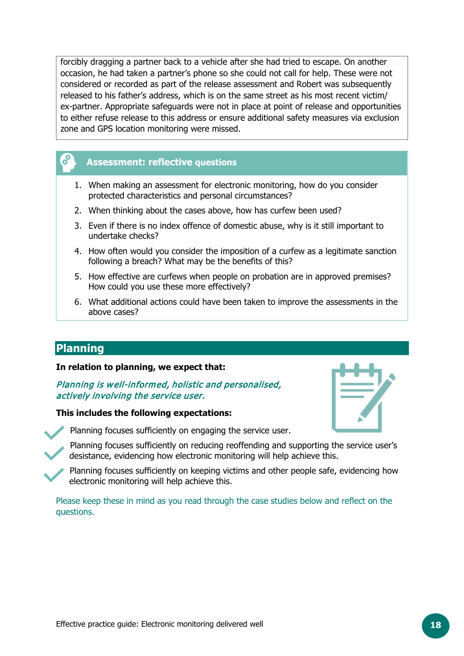forcibly dragging a partner back to a vehicle after she had tried to escape. On another occasion, he had taken a partner's phone so she could not call for help. These were not considered or recorded as part of the release assessment and Robert was subsequently released to his father's address, which is on the same street as his most recent victim/ ex-partner. Appropriate safeguards were not in place at point of release and opportunities to either refuse release to this address or ensure additional safety measures via exclusion zone and GPS location monitoring were missed.

#### **Assessment: reflective questions**

- 1. When making an assessment for electronic monitoring, how do you consider protected characteristics and personal circumstances?
- 2. When thinking about the cases above, how has curfew been used?
- 3. Even if there is no index offence of domestic abuse, why is it still important to undertake checks?
- 4. How often would you consider the imposition of a curfew as a legitimate sanction following a breach? What may be the benefits of this?
- 5. How effective are curfews when people on probation are in approved premises? How could you use these more effectively?
- 6. What additional actions could have been taken to improve the assessments in the above cases?

#### <span id="page-17-0"></span>**Planning**

#### **In relation to planning, we expect that:**

Planning is well-informed, holistic and personalised, actively involving the service user.

#### **This includes the following expectations:**





Planning focuses sufficiently on engaging the service user.

Planning focuses sufficiently on reducing reoffending and supporting the service user's desistance, evidencing how electronic monitoring will help achieve this.

Planning focuses sufficiently on keeping victims and other people safe, evidencing how electronic monitoring will help achieve this.

Please keep these in mind as you read through the case studies below and reflect on the questions.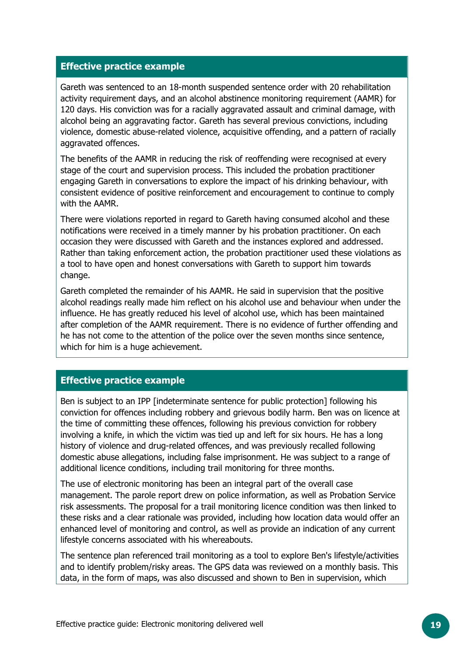#### **Effective practice example**

Gareth was sentenced to an 18-month suspended sentence order with 20 rehabilitation activity requirement days, and an alcohol abstinence monitoring requirement (AAMR) for 120 days. His conviction was for a racially aggravated assault and criminal damage, with alcohol being an aggravating factor. Gareth has several previous convictions, including violence, domestic abuse-related violence, acquisitive offending, and a pattern of racially aggravated offences.

The benefits of the AAMR in reducing the risk of reoffending were recognised at every stage of the court and supervision process. This included the probation practitioner engaging Gareth in conversations to explore the impact of his drinking behaviour, with consistent evidence of positive reinforcement and encouragement to continue to comply with the AAMR.

There were violations reported in regard to Gareth having consumed alcohol and these notifications were received in a timely manner by his probation practitioner. On each occasion they were discussed with Gareth and the instances explored and addressed. Rather than taking enforcement action, the probation practitioner used these violations as a tool to have open and honest conversations with Gareth to support him towards change.

Gareth completed the remainder of his AAMR. He said in supervision that the positive alcohol readings really made him reflect on his alcohol use and behaviour when under the influence. He has greatly reduced his level of alcohol use, which has been maintained after completion of the AAMR requirement. There is no evidence of further offending and he has not come to the attention of the police over the seven months since sentence, which for him is a huge achievement.

#### **Effective practice example**

Ben is subject to an IPP [indeterminate sentence for public protection] following his conviction for offences including robbery and grievous bodily harm. Ben was on licence at the time of committing these offences, following his previous conviction for robbery involving a knife, in which the victim was tied up and left for six hours. He has a long history of violence and drug-related offences, and was previously recalled following domestic abuse allegations, including false imprisonment. He was subject to a range of additional licence conditions, including trail monitoring for three months.

The use of electronic monitoring has been an integral part of the overall case management. The parole report drew on police information, as well as Probation Service risk assessments. The proposal for a trail monitoring licence condition was then linked to these risks and a clear rationale was provided, including how location data would offer an enhanced level of monitoring and control, as well as provide an indication of any current lifestyle concerns associated with his whereabouts.

The sentence plan referenced trail monitoring as a tool to explore Ben's lifestyle/activities and to identify problem/risky areas. The GPS data was reviewed on a monthly basis. This data, in the form of maps, was also discussed and shown to Ben in supervision, which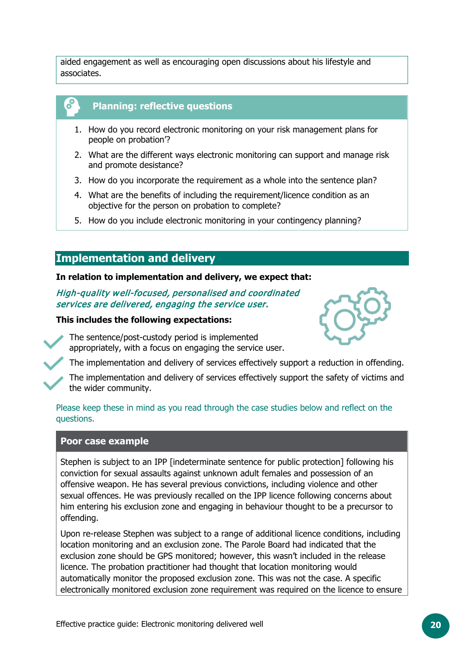aided engagement as well as encouraging open discussions about his lifestyle and associates.

#### **Planning: reflective questions**

- 1. How do you record electronic monitoring on your risk management plans for people on probation'?
- 2. What are the different ways electronic monitoring can support and manage risk and promote desistance?
- 3. How do you incorporate the requirement as a whole into the sentence plan?
- 4. What are the benefits of including the requirement/licence condition as an objective for the person on probation to complete?
- 5. How do you include electronic monitoring in your contingency planning?

#### <span id="page-19-0"></span>**Implementation and delivery**

#### **In relation to implementation and delivery, we expect that:**

High-quality well-focused, personalised and coordinated services are delivered, engaging the service user.

#### **This includes the following expectations:**

The sentence/post-custody period is implemented appropriately, with a focus on engaging the service user.



The implementation and delivery of services effectively support a reduction in offending.

The implementation and delivery of services effectively support the safety of victims and the wider community.

#### Please keep these in mind as you read through the case studies below and reflect on the questions.

#### **Poor case example**

Stephen is subject to an IPP [indeterminate sentence for public protection] following his conviction for sexual assaults against unknown adult females and possession of an offensive weapon. He has several previous convictions, including violence and other sexual offences. He was previously recalled on the IPP licence following concerns about him entering his exclusion zone and engaging in behaviour thought to be a precursor to offending.

Upon re-release Stephen was subject to a range of additional licence conditions, including location monitoring and an exclusion zone. The Parole Board had indicated that the exclusion zone should be GPS monitored; however, this wasn't included in the release licence. The probation practitioner had thought that location monitoring would automatically monitor the proposed exclusion zone. This was not the case. A specific electronically monitored exclusion zone requirement was required on the licence to ensure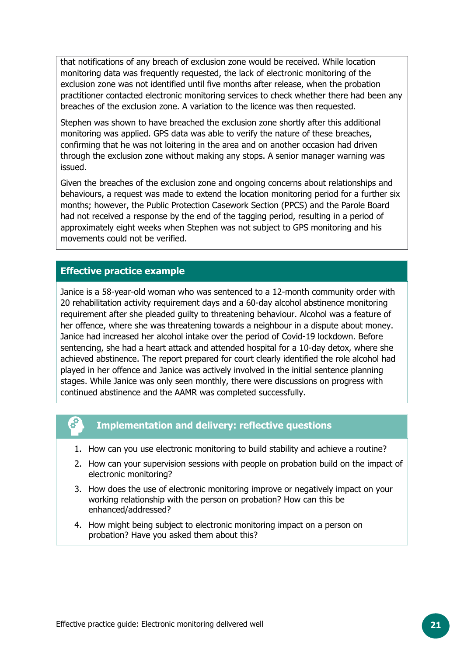that notifications of any breach of exclusion zone would be received. While location monitoring data was frequently requested, the lack of electronic monitoring of the exclusion zone was not identified until five months after release, when the probation practitioner contacted electronic monitoring services to check whether there had been any breaches of the exclusion zone. A variation to the licence was then requested.

Stephen was shown to have breached the exclusion zone shortly after this additional monitoring was applied. GPS data was able to verify the nature of these breaches, confirming that he was not loitering in the area and on another occasion had driven through the exclusion zone without making any stops. A senior manager warning was issued.

Given the breaches of the exclusion zone and ongoing concerns about relationships and behaviours, a request was made to extend the location monitoring period for a further six months; however, the Public Protection Casework Section (PPCS) and the Parole Board had not received a response by the end of the tagging period, resulting in a period of approximately eight weeks when Stephen was not subject to GPS monitoring and his movements could not be verified.

#### **Effective practice example**

Janice is a 58-year-old woman who was sentenced to a 12-month community order with 20 rehabilitation activity requirement days and a 60-day alcohol abstinence monitoring requirement after she pleaded guilty to threatening behaviour. Alcohol was a feature of her offence, where she was threatening towards a neighbour in a dispute about money. Janice had increased her alcohol intake over the period of Covid-19 lockdown. Before sentencing, she had a heart attack and attended hospital for a 10-day detox, where she achieved abstinence. The report prepared for court clearly identified the role alcohol had played in her offence and Janice was actively involved in the initial sentence planning stages. While Janice was only seen monthly, there were discussions on progress with continued abstinence and the AAMR was completed successfully.

#### **Implementation and delivery: reflective questions**

- 1. How can you use electronic monitoring to build stability and achieve a routine?
- 2. How can your supervision sessions with people on probation build on the impact of electronic monitoring?
- 3. How does the use of electronic monitoring improve or negatively impact on your working relationship with the person on probation? How can this be enhanced/addressed?
- 4. How might being subject to electronic monitoring impact on a person on probation? Have you asked them about this?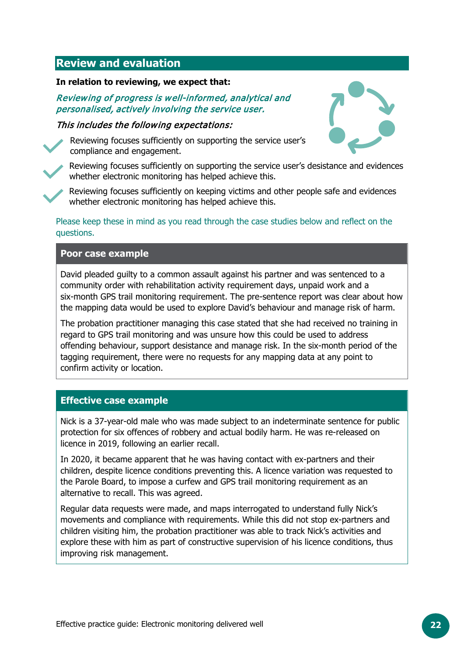#### <span id="page-21-0"></span>**Review and evaluation**

#### **In relation to reviewing, we expect that:**

#### Reviewing of progress is well-informed, analytical and personalised, actively involving the service user.

#### This includes the following expectations:



Reviewing focuses sufficiently on supporting the service user's compliance and engagement.



Reviewing focuses sufficiently on supporting the service user's desistance and evidences whether electronic monitoring has helped achieve this.



Reviewing focuses sufficiently on keeping victims and other people safe and evidences whether electronic monitoring has helped achieve this.

Please keep these in mind as you read through the case studies below and reflect on the questions.

#### **Poor case example**

David pleaded guilty to a common assault against his partner and was sentenced to a community order with rehabilitation activity requirement days, unpaid work and a six-month GPS trail monitoring requirement. The pre-sentence report was clear about how the mapping data would be used to explore David's behaviour and manage risk of harm.

The probation practitioner managing this case stated that she had received no training in regard to GPS trail monitoring and was unsure how this could be used to address offending behaviour, support desistance and manage risk. In the six-month period of the tagging requirement, there were no requests for any mapping data at any point to confirm activity or location.

#### **Effective case example**

Nick is a 37-year-old male who was made subject to an indeterminate sentence for public protection for six offences of robbery and actual bodily harm. He was re-released on licence in 2019, following an earlier recall.

In 2020, it became apparent that he was having contact with ex-partners and their children, despite licence conditions preventing this. A licence variation was requested to the Parole Board, to impose a curfew and GPS trail monitoring requirement as an alternative to recall. This was agreed.

Regular data requests were made, and maps interrogated to understand fully Nick's movements and compliance with requirements. While this did not stop ex-partners and children visiting him, the probation practitioner was able to track Nick's activities and explore these with him as part of constructive supervision of his licence conditions, thus improving risk management.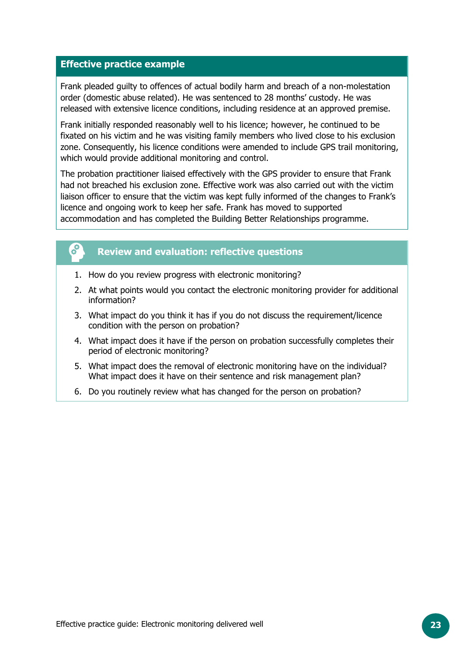#### **Effective practice example**

Frank pleaded guilty to offences of actual bodily harm and breach of a non-molestation order (domestic abuse related). He was sentenced to 28 months' custody. He was released with extensive licence conditions, including residence at an approved premise.

Frank initially responded reasonably well to his licence; however, he continued to be fixated on his victim and he was visiting family members who lived close to his exclusion zone. Consequently, his licence conditions were amended to include GPS trail monitoring, which would provide additional monitoring and control.

The probation practitioner liaised effectively with the GPS provider to ensure that Frank had not breached his exclusion zone. Effective work was also carried out with the victim liaison officer to ensure that the victim was kept fully informed of the changes to Frank's licence and ongoing work to keep her safe. Frank has moved to supported accommodation and has completed the Building Better Relationships programme.



#### **Review and evaluation: reflective questions**

- 1. How do you review progress with electronic monitoring?
- 2. At what points would you contact the electronic monitoring provider for additional information?
- 3. What impact do you think it has if you do not discuss the requirement/licence condition with the person on probation?
- 4. What impact does it have if the person on probation successfully completes their period of electronic monitoring?
- 5. What impact does the removal of electronic monitoring have on the individual? What impact does it have on their sentence and risk management plan?
- 6. Do you routinely review what has changed for the person on probation?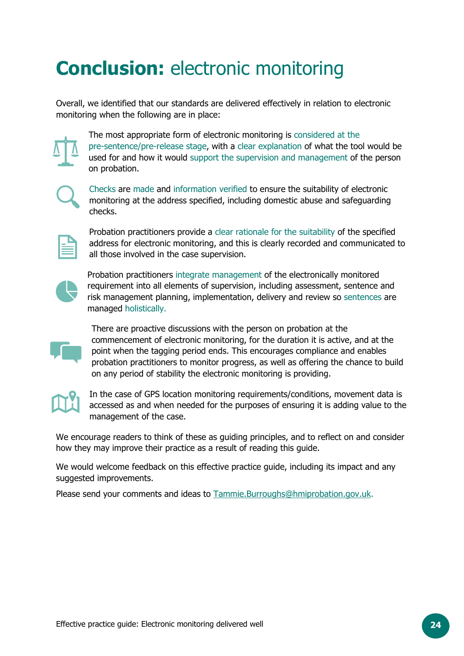## <span id="page-23-0"></span>**Conclusion:** electronic monitoring

Overall, we identified that our standards are delivered effectively in relation to electronic monitoring when the following are in place:



The most appropriate form of electronic monitoring is considered at the pre-sentence/pre-release stage, with a clear explanation of what the tool would be used for and how it would support the supervision and management of the person on probation.



Checks are made and information verified to ensure the suitability of electronic monitoring at the address specified, including domestic abuse and safeguarding checks.



Probation practitioners provide a clear rationale for the suitability of the specified address for electronic monitoring, and this is clearly recorded and communicated to all those involved in the case supervision.



Probation practitioners integrate management of the electronically monitored requirement into all elements of supervision, including assessment, sentence and risk management planning, implementation, delivery and review so sentences are managed holistically.



There are proactive discussions with the person on probation at the commencement of electronic monitoring, for the duration it is active, and at the point when the tagging period ends. This encourages compliance and enables probation practitioners to monitor progress, as well as offering the chance to build on any period of stability the electronic monitoring is providing.

In the case of GPS location monitoring requirements/conditions, movement data is accessed as and when needed for the purposes of ensuring it is adding value to the management of the case.

We encourage readers to think of these as guiding principles, and to reflect on and consider how they may improve their practice as a result of reading this guide.

We would welcome feedback on this effective practice guide, including its impact and any suggested improvements.

Please send your comments and ideas to [Tammie.Burroughs@hmiprobation.gov.uk.](mailto:Tammie.Burroughs@hmiprobation.gov.uk)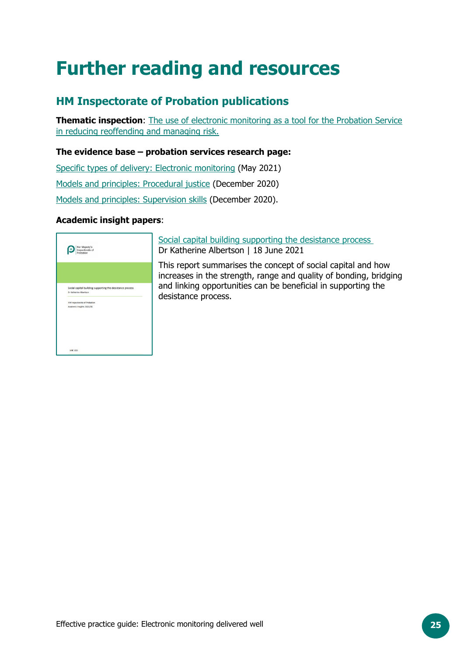## <span id="page-24-0"></span>**Further reading and resources**

### **HM Inspectorate of Probation publications**

**Thematic inspection:** The use of electronic monitoring as a tool for the Probation Service [in reducing reoffending and managing risk.](https://www.justiceinspectorates.gov.uk/hmiprobation/?post_type=inspection&p=17017&preview=true)

#### **The evidence base – probation services research page:**

[Specific types of delivery: Electronic monitoring](https://www.justiceinspectorates.gov.uk/hmiprobation/research/the-evidence-base-probation/specific-types-of-delivery/electronic-monitoring/) (May 2021) [Models and principles: Procedural justice](https://www.justiceinspectorates.gov.uk/hmiprobation/research/the-evidence-base-probation/models-and-principles/procedural-justice/) (December 2020) [Models and principles: Supervision skills](https://www.justiceinspectorates.gov.uk/hmiprobation/research/the-evidence-base-probation/models-and-principles/supervision-skills/) (December 2020).

#### **Academic insight papers**:



[Social capital building supporting the desistance process](https://www.justiceinspectorates.gov.uk/hmiprobation/wp-content/uploads/sites/5/2021/06/Academic-Insights-Albertson-KM-design2-RM.pdf) Dr Katherine Albertson | 18 June 2021

This report summarises the concept of social capital and how increases in the strength, range and quality of bonding, bridging and linking opportunities can be beneficial in supporting the desistance process.